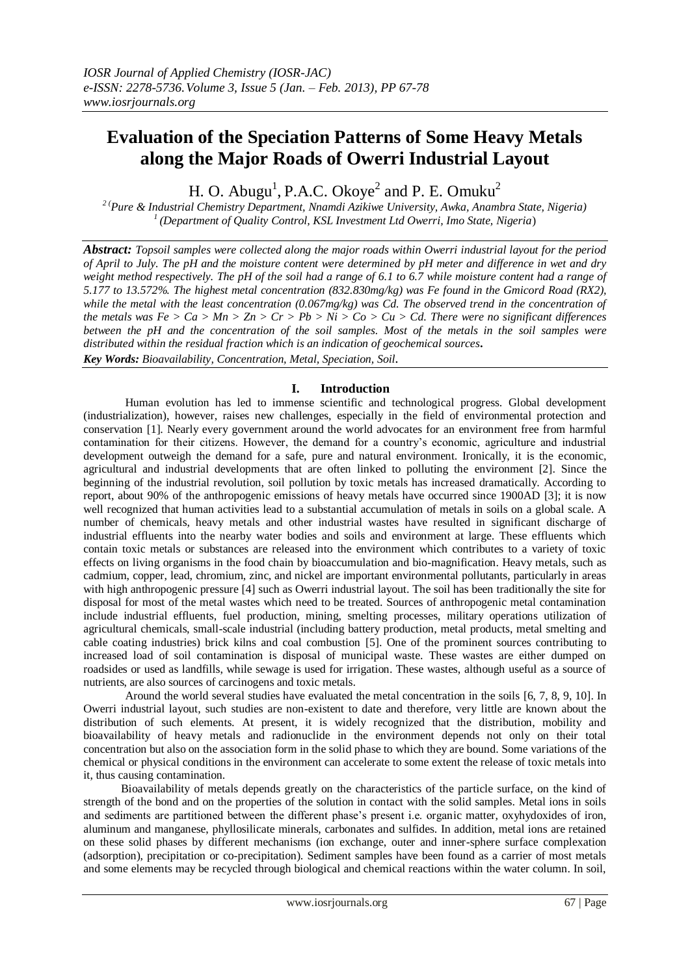# **Evaluation of the Speciation Patterns of Some Heavy Metals along the Major Roads of Owerri Industrial Layout**

H. O. Abugu<sup>1</sup>, P.A.C. Okoye<sup>2</sup> and P. E. Omuku<sup>2</sup>

*2 (Pure & Industrial Chemistry Department, Nnamdi Azikiwe University, Awka, Anambra State, Nigeria) <sup>1</sup>(Department of Quality Control, KSL Investment Ltd Owerri, Imo State, Nigeria*)

*Abstract: Topsoil samples were collected along the major roads within Owerri industrial layout for the period of April to July. The pH and the moisture content were determined by pH meter and difference in wet and dry weight method respectively. The pH of the soil had a range of 6.1 to 6.7 while moisture content had a range of 5.177 to 13.572%. The highest metal concentration (832.830mg/kg) was Fe found in the Gmicord Road (RX2), while the metal with the least concentration (0.067mg/kg) was Cd. The observed trend in the concentration of the metals was Fe > Ca > Mn > Zn > Cr > Pb > Ni > Co > Cu > Cd. There were no significant differences between the pH and the concentration of the soil samples. Most of the metals in the soil samples were distributed within the residual fraction which is an indication of geochemical sources.* 

*Key Words: Bioavailability, Concentration, Metal, Speciation, Soil.*

## **I. Introduction**

 Human evolution has led to immense scientific and technological progress. Global development (industrialization), however, raises new challenges, especially in the field of environmental protection and conservation [1]. Nearly every government around the world advocates for an environment free from harmful contamination for their citizens. However, the demand for a country's economic, agriculture and industrial development outweigh the demand for a safe, pure and natural environment. Ironically, it is the economic, agricultural and industrial developments that are often linked to polluting the environment [2]. Since the beginning of the industrial revolution, soil pollution by toxic metals has increased dramatically. According to report, about 90% of the anthropogenic emissions of heavy metals have occurred since 1900AD [3]; it is now well recognized that human activities lead to a substantial accumulation of metals in soils on a global scale. A number of chemicals, heavy metals and other industrial wastes have resulted in significant discharge of industrial effluents into the nearby water bodies and soils and environment at large. These effluents which contain toxic metals or substances are released into the environment which contributes to a variety of toxic effects on living organisms in the food chain by bioaccumulation and bio-magnification. Heavy metals, such as cadmium, copper, lead, chromium, zinc, and nickel are important environmental pollutants, particularly in areas with high anthropogenic pressure [4] such as Owerri industrial layout. The soil has been traditionally the site for disposal for most of the metal wastes which need to be treated. Sources of anthropogenic metal contamination include industrial effluents, fuel production, mining, smelting processes, military operations utilization of agricultural chemicals, small-scale industrial (including battery production, metal products, metal smelting and cable coating industries) brick kilns and coal combustion [5]. One of the prominent sources contributing to increased load of soil contamination is disposal of municipal waste. These wastes are either dumped on roadsides or used as landfills, while sewage is used for irrigation. These wastes, although useful as a source of nutrients, are also sources of carcinogens and toxic metals.

Around the world several studies have evaluated the metal concentration in the soils [6, 7, 8, 9, 10]. In Owerri industrial layout, such studies are non-existent to date and therefore, very little are known about the distribution of such elements. At present, it is widely recognized that the distribution, mobility and bioavailability of heavy metals and radionuclide in the environment depends not only on their total concentration but also on the association form in the solid phase to which they are bound. Some variations of the chemical or physical conditions in the environment can accelerate to some extent the release of toxic metals into it, thus causing contamination.

 Bioavailability of metals depends greatly on the characteristics of the particle surface, on the kind of strength of the bond and on the properties of the solution in contact with the solid samples. Metal ions in soils and sediments are partitioned between the different phase's present i.e. organic matter, oxyhydoxides of iron, aluminum and manganese, phyllosilicate minerals, carbonates and sulfides. In addition, metal ions are retained on these solid phases by different mechanisms (ion exchange, outer and inner-sphere surface complexation (adsorption), precipitation or co-precipitation). Sediment samples have been found as a carrier of most metals and some elements may be recycled through biological and chemical reactions within the water column. In soil,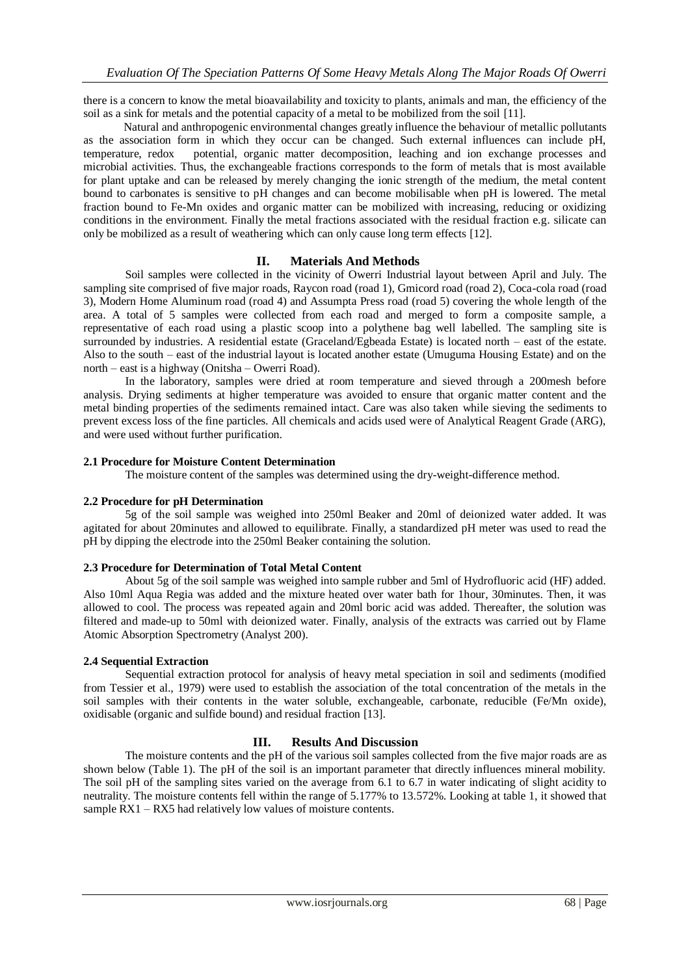there is a concern to know the metal bioavailability and toxicity to plants, animals and man, the efficiency of the soil as a sink for metals and the potential capacity of a metal to be mobilized from the soil [11].

 Natural and anthropogenic environmental changes greatly influence the behaviour of metallic pollutants as the association form in which they occur can be changed. Such external influences can include pH, temperature, redox potential, organic matter decomposition, leaching and ion exchange processes and microbial activities. Thus, the exchangeable fractions corresponds to the form of metals that is most available for plant uptake and can be released by merely changing the ionic strength of the medium, the metal content bound to carbonates is sensitive to pH changes and can become mobilisable when pH is lowered. The metal fraction bound to Fe-Mn oxides and organic matter can be mobilized with increasing, reducing or oxidizing conditions in the environment. Finally the metal fractions associated with the residual fraction e.g. silicate can only be mobilized as a result of weathering which can only cause long term effects [12].

## **II. Materials And Methods**

Soil samples were collected in the vicinity of Owerri Industrial layout between April and July. The sampling site comprised of five major roads, Raycon road (road 1), Gmicord road (road 2), Coca-cola road (road 3), Modern Home Aluminum road (road 4) and Assumpta Press road (road 5) covering the whole length of the area. A total of 5 samples were collected from each road and merged to form a composite sample, a representative of each road using a plastic scoop into a polythene bag well labelled. The sampling site is surrounded by industries. A residential estate (Graceland/Egbeada Estate) is located north – east of the estate. Also to the south – east of the industrial layout is located another estate (Umuguma Housing Estate) and on the north – east is a highway (Onitsha – Owerri Road).

In the laboratory, samples were dried at room temperature and sieved through a 200mesh before analysis. Drying sediments at higher temperature was avoided to ensure that organic matter content and the metal binding properties of the sediments remained intact. Care was also taken while sieving the sediments to prevent excess loss of the fine particles. All chemicals and acids used were of Analytical Reagent Grade (ARG), and were used without further purification.

### **2.1 Procedure for Moisture Content Determination**

The moisture content of the samples was determined using the dry-weight-difference method.

### **2.2 Procedure for pH Determination**

5g of the soil sample was weighed into 250ml Beaker and 20ml of deionized water added. It was agitated for about 20minutes and allowed to equilibrate. Finally, a standardized pH meter was used to read the pH by dipping the electrode into the 250ml Beaker containing the solution.

### **2.3 Procedure for Determination of Total Metal Content**

About 5g of the soil sample was weighed into sample rubber and 5ml of Hydrofluoric acid (HF) added. Also 10ml Aqua Regia was added and the mixture heated over water bath for 1hour, 30minutes. Then, it was allowed to cool. The process was repeated again and 20ml boric acid was added. Thereafter, the solution was filtered and made-up to 50ml with deionized water. Finally, analysis of the extracts was carried out by Flame Atomic Absorption Spectrometry (Analyst 200).

## **2.4 Sequential Extraction**

Sequential extraction protocol for analysis of heavy metal speciation in soil and sediments (modified from Tessier et al., 1979) were used to establish the association of the total concentration of the metals in the soil samples with their contents in the water soluble, exchangeable, carbonate, reducible (Fe/Mn oxide), oxidisable (organic and sulfide bound) and residual fraction [13].

### **III. Results And Discussion**

The moisture contents and the pH of the various soil samples collected from the five major roads are as shown below (Table 1). The pH of the soil is an important parameter that directly influences mineral mobility. The soil pH of the sampling sites varied on the average from 6.1 to 6.7 in water indicating of slight acidity to neutrality. The moisture contents fell within the range of 5.177% to 13.572%. Looking at table 1, it showed that sample RX1 – RX5 had relatively low values of moisture contents.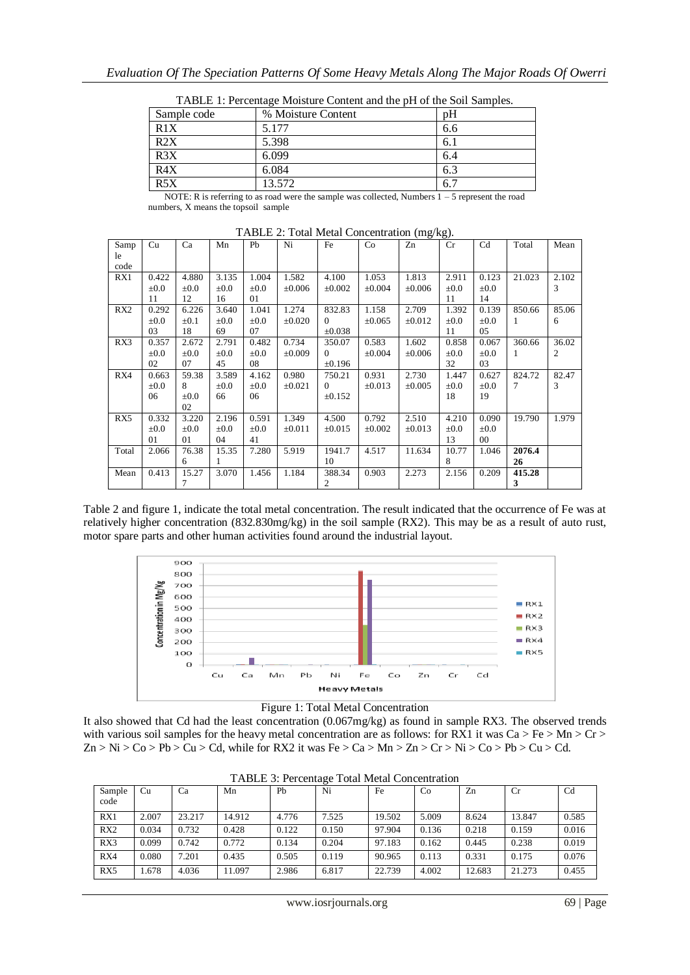| Sample code      | % Moisture Content | pH   |
|------------------|--------------------|------|
| R1X              | 5.177              | 6.6  |
| R2X              | 5.398              | 6.1  |
| $R\overline{3X}$ | 6.099              | 6.4  |
| R4X              | 6.084              | 6.3  |
| R5X              | 13.572             | -6.7 |

TABLE 1: Percentage Moisture Content and the pH of the Soil Samples.

NOTE: R is referring to as road were the sample was collected, Numbers 1 – 5 represent the road numbers, X means the topsoil sample

| Samp  | Cu        | Ca        | Mn        | Pb        | Ni          | Fe          | Co          | Zn          | Cr        | C <sub>d</sub> | Total        | Mean  |
|-------|-----------|-----------|-----------|-----------|-------------|-------------|-------------|-------------|-----------|----------------|--------------|-------|
| le    |           |           |           |           |             |             |             |             |           |                |              |       |
| code  |           |           |           |           |             |             |             |             |           |                |              |       |
| RX1   | 0.422     | 4.880     | 3.135     | 1.004     | 1.582       | 4.100       | 1.053       | 1.813       | 2.911     | 0.123          | 21.023       | 2.102 |
|       | $\pm 0.0$ | $\pm 0.0$ | $\pm 0.0$ | $\pm 0.0$ | $\pm 0.006$ | $\pm 0.002$ | $\pm 0.004$ | $\pm 0.006$ | $\pm 0.0$ | $\pm 0.0$      |              | 3     |
|       | 11        | 12        | 16        | 01        |             |             |             |             | 11        | 14             |              |       |
| RX2   | 0.292     | 6.226     | 3.640     | 1.041     | 1.274       | 832.83      | 1.158       | 2.709       | 1.392     | 0.139          | 850.66       | 85.06 |
|       | $\pm 0.0$ | $\pm 0.1$ | $\pm 0.0$ | $\pm 0.0$ | $\pm 0.020$ | $\Omega$    | $\pm 0.065$ | $\pm 0.012$ | $\pm 0.0$ | $\pm 0.0$      | $\mathbf{1}$ | 6     |
|       | 03        | 18        | 69        | 07        |             | $\pm 0.038$ |             |             | 11        | 05             |              |       |
| RX3   | 0.357     | 2.672     | 2.791     | 0.482     | 0.734       | 350.07      | 0.583       | 1.602       | 0.858     | 0.067          | 360.66       | 36.02 |
|       | $\pm 0.0$ | $\pm 0.0$ | $\pm 0.0$ | $\pm 0.0$ | $\pm 0.009$ | $\Omega$    | $\pm 0.004$ | $\pm 0.006$ | $\pm 0.0$ | $\pm 0.0$      | $\mathbf{1}$ | 2     |
|       | 02        | 07        | 45        | 08        |             | $\pm 0.196$ |             |             | 32        | 03             |              |       |
| RX4   | 0.663     | 59.38     | 3.589     | 4.162     | 0.980       | 750.21      | 0.931       | 2.730       | 1.447     | 0.627          | 824.72       | 82.47 |
|       | $\pm 0.0$ | 8         | $\pm 0.0$ | $\pm 0.0$ | $\pm 0.021$ | $\Omega$    | $\pm 0.013$ | $\pm 0.005$ | $\pm 0.0$ | $\pm 0.0$      | 7            | 3     |
|       | 06        | $\pm 0.0$ | 66        | 06        |             | ±0.152      |             |             | 18        | 19             |              |       |
|       |           | 02        |           |           |             |             |             |             |           |                |              |       |
| RX5   | 0.332     | 3.220     | 2.196     | 0.591     | 1.349       | 4.500       | 0.792       | 2.510       | 4.210     | 0.090          | 19.790       | 1.979 |
|       | $\pm 0.0$ | $\pm 0.0$ | $\pm 0.0$ | $\pm 0.0$ | $\pm 0.011$ | $\pm 0.015$ | $\pm 0.002$ | $\pm 0.013$ | $\pm 0.0$ | $\pm 0.0$      |              |       |
|       | 01        | 01        | 04        | 41        |             |             |             |             | 13        | $00\,$         |              |       |
| Total | 2.066     | 76.38     | 15.35     | 7.280     | 5.919       | 1941.7      | 4.517       | 11.634      | 10.77     | 1.046          | 2076.4       |       |
|       |           | 6         |           |           |             | 10          |             |             | 8         |                | 26           |       |
| Mean  | 0.413     | 15.27     | 3.070     | 1.456     | 1.184       | 388.34      | 0.903       | 2.273       | 2.156     | 0.209          | 415.28       |       |
|       |           | 7         |           |           |             | 2           |             |             |           |                | 3            |       |

TABLE 2: Total Metal Concentration (mg/kg).

Table 2 and figure 1, indicate the total metal concentration. The result indicated that the occurrence of Fe was at relatively higher concentration (832.830mg/kg) in the soil sample (RX2). This may be as a result of auto rust, motor spare parts and other human activities found around the industrial layout.





It also showed that Cd had the least concentration (0.067mg/kg) as found in sample RX3. The observed trends with various soil samples for the heavy metal concentration are as follows: for RX1 it was  $Ca > Fe > Mn > Cr >$  $Zn > Ni > Co > Pb > Cu > Cd$ , while for RX2 it was Fe  $> Ca > Mn > Zn > Cr > Ni > Co > Pb > Cu > Cd$ .

| Sample<br>code | Cu    | Ca     | Mn     | Pb    | ີ<br>Ni | Fe     | Co    | Zn     | Cr     | Cd    |
|----------------|-------|--------|--------|-------|---------|--------|-------|--------|--------|-------|
| RX1            | 2.007 | 23.217 | 14.912 | 4.776 | 7.525   | 19.502 | 5.009 | 8.624  | 13.847 | 0.585 |
| RX2            | 0.034 | 0.732  | 0.428  | 0.122 | 0.150   | 97.904 | 0.136 | 0.218  | 0.159  | 0.016 |
| RX3            | 0.099 | 0.742  | 0.772  | 0.134 | 0.204   | 97.183 | 0.162 | 0.445  | 0.238  | 0.019 |
| RX4            | 0.080 | 7.201  | 0.435  | 0.505 | 0.119   | 90.965 | 0.113 | 0.331  | 0.175  | 0.076 |
| RX5            | 1.678 | 4.036  | 11.097 | 2.986 | 6.817   | 22.739 | 4.002 | 12.683 | 21.273 | 0.455 |

TABLE 3: Percentage Total Metal Concentration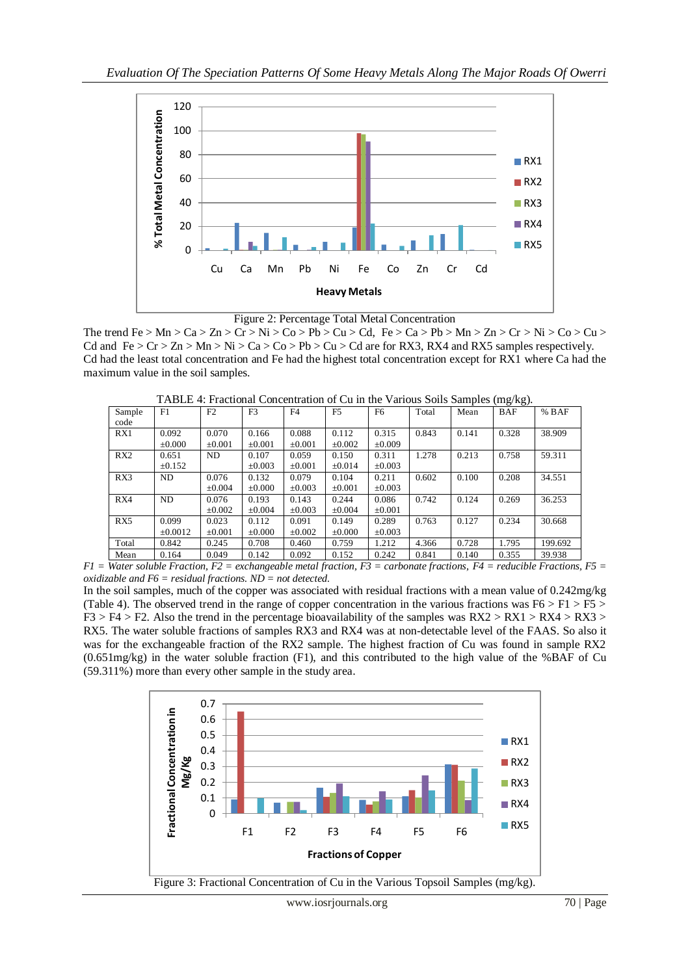



The trend Fe > Mn > Ca > Zn > Cr > Ni > Co > Pb > Cu > Cd, Fe > Ca > Pb > Mn > Zn > Cr > Ni > Co > Cu > Cd and  $Fe > Cr > Zn > Mn > Ni > Ca > Co > Pb > Cu > Cd$  are for RX3, RX4 and RX5 samples respectively. Cd had the least total concentration and Fe had the highest total concentration except for RX1 where Ca had the maximum value in the soil samples.

|                 |                      |                      |                      |                      | Trubble 1. Fractional Concentration of Cu in the Various bons bamples (ing Rg). |                      |       |       |            |         |
|-----------------|----------------------|----------------------|----------------------|----------------------|---------------------------------------------------------------------------------|----------------------|-------|-------|------------|---------|
| Sample<br>code  | F1                   | F2                   | F <sub>3</sub>       | F <sub>4</sub>       | F <sub>5</sub>                                                                  | F6                   | Total | Mean  | <b>BAF</b> | $%$ BAF |
| RX1             | 0.092<br>$\pm 0.000$ | 0.070<br>$\pm 0.001$ | 0.166<br>$\pm 0.001$ | 0.088<br>$\pm 0.001$ | 0.112<br>$\pm 0.002$                                                            | 0.315<br>$\pm 0.009$ | 0.843 | 0.141 | 0.328      | 38.909  |
| RX <sub>2</sub> | 0.651<br>$\pm 0.152$ | ND.                  | 0.107<br>$\pm 0.003$ | 0.059<br>$\pm 0.001$ | 0.150<br>$\pm 0.014$                                                            | 0.311<br>$\pm 0.003$ | 1.278 | 0.213 | 0.758      | 59.311  |
| RX3             | ND                   | 0.076<br>$+0.004$    | 0.132<br>$+0.000$    | 0.079<br>$+0.003$    | 0.104<br>$+0.001$                                                               | 0.211<br>$+0.003$    | 0.602 | 0.100 | 0.208      | 34.551  |

0.244  $±0.004$ 

0.149  $+0.000$ 

Total 0.842 0.245 0.708 0.460 0.759 1.212 4.366 0.728 1.795 199.692

0.086 ±0.001

0.289 ±0.003 0.742 0.124 0.269 36.253

0.763 0.127 0.234 30.668

RX4 ND 0.076

 $+0.0012$ 

RX5 0.099

±0.002

0.023 ±0.001 0.193 ±0.004

0.112 ±0.000 0.143 ±0.003

0.091 ±0.002

TABLE 4: Fractional Concentration of Cu in the Various Soils Samples (mg/kg).

Mean 0.164 0.049 0.142 0.092 0.152 0.242 0.841 0.140 0.355 39.938 *F1 = Water soluble Fraction, F2 = exchangeable metal fraction, F3 = carbonate fractions, F4 = reducible Fractions, F5 = oxidizable and F6 = residual fractions. ND = not detected.*

In the soil samples, much of the copper was associated with residual fractions with a mean value of 0.242mg/kg (Table 4). The observed trend in the range of copper concentration in the various fractions was  $F6 > F1 > F5$  $F3 > F4 > F2$ . Also the trend in the percentage bioavailability of the samples was  $RX2 > RX1 > RX4 > RX3 >$ RX5. The water soluble fractions of samples RX3 and RX4 was at non-detectable level of the FAAS. So also it was for the exchangeable fraction of the RX2 sample. The highest fraction of Cu was found in sample RX2  $(0.651mg/kg)$  in the water soluble fraction (F1), and this contributed to the high value of the %BAF of Cu (59.311%) more than every other sample in the study area.



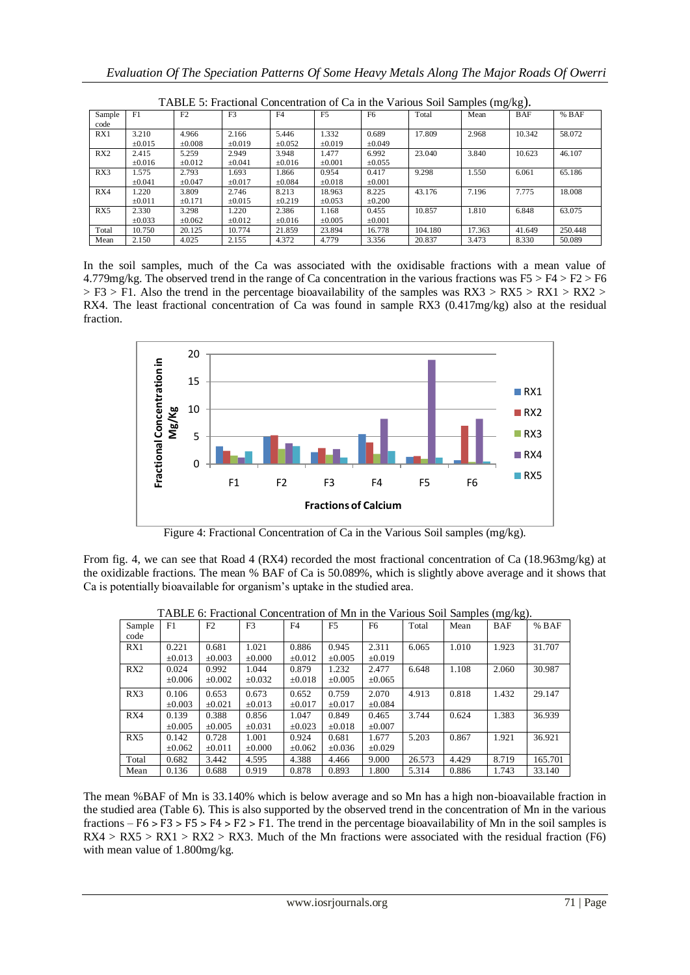|        | TABLE J. Practional Concentration of Ca in the various Son Samples (ing/kg). |                |                |             |                |             |         |        |            |         |  |  |  |  |
|--------|------------------------------------------------------------------------------|----------------|----------------|-------------|----------------|-------------|---------|--------|------------|---------|--|--|--|--|
| Sample | F1                                                                           | F <sub>2</sub> | F <sub>3</sub> | F4          | F <sub>5</sub> | F6          | Total   | Mean   | <b>BAF</b> | $%$ BAF |  |  |  |  |
| code   |                                                                              |                |                |             |                |             |         |        |            |         |  |  |  |  |
| RX1    | 3.210                                                                        | 4.966          | 2.166          | 5.446       | 1.332          | 0.689       | 17.809  | 2.968  | 10.342     | 58.072  |  |  |  |  |
|        | $\pm 0.015$                                                                  | $\pm 0.008$    | $\pm 0.019$    | $\pm 0.052$ | $\pm 0.019$    | $\pm 0.049$ |         |        |            |         |  |  |  |  |
| RX2    | 2.415                                                                        | 5.259          | 2.949          | 3.948       | 1.477          | 6.992       | 23.040  | 3.840  | 10.623     | 46.107  |  |  |  |  |
|        | $\pm 0.016$                                                                  | $\pm 0.012$    | $\pm 0.041$    | $\pm 0.016$ | $\pm 0.001$    | $\pm 0.055$ |         |        |            |         |  |  |  |  |
| RX3    | 1.575                                                                        | 2.793          | 1.693          | 1.866       | 0.954          | 0.417       | 9.298   | 1.550  | 6.061      | 65.186  |  |  |  |  |
|        | $\pm 0.041$                                                                  | $\pm 0.047$    | $\pm 0.017$    | $\pm 0.084$ | $\pm 0.018$    | $\pm 0.001$ |         |        |            |         |  |  |  |  |
| RX4    | 1.220                                                                        | 3.809          | 2.746          | 8.213       | 18.963         | 8.225       | 43.176  | 7.196  | 7.775      | 18.008  |  |  |  |  |
|        | $\pm 0.011$                                                                  | $\pm 0.171$    | $\pm 0.015$    | $\pm 0.219$ | $\pm 0.053$    | $\pm 0.200$ |         |        |            |         |  |  |  |  |
| RX5    | 2.330                                                                        | 3.298          | 1.220          | 2.386       | 1.168          | 0.455       | 10.857  | 1.810  | 6.848      | 63.075  |  |  |  |  |
|        | $\pm 0.033$                                                                  | $\pm 0.062$    | $\pm 0.012$    | $\pm 0.016$ | $\pm 0.005$    | $\pm 0.001$ |         |        |            |         |  |  |  |  |
| Total  | 10.750                                                                       | 20.125         | 10.774         | 21.859      | 23.894         | 16.778      | 104.180 | 17.363 | 41.649     | 250.448 |  |  |  |  |
| Mean   | 2.150                                                                        | 4.025          | 2.155          | 4.372       | 4.779          | 3.356       | 20.837  | 3.473  | 8.330      | 50.089  |  |  |  |  |

 $T_{\text{nontration}}$  of  $C_0$  in the Various Soil Samples (mg/kg).

In the soil samples, much of the Ca was associated with the oxidisable fractions with a mean value of 4.779mg/kg. The observed trend in the range of Ca concentration in the various fractions was  $F5 > F4 > F2 > F6$  $>$  F3  $>$  F1. Also the trend in the percentage bioavailability of the samples was RX3  $>$  RX5  $>$  RX1  $>$  RX2  $>$ RX4. The least fractional concentration of Ca was found in sample RX3 (0.417mg/kg) also at the residual fraction.



Figure 4: Fractional Concentration of Ca in the Various Soil samples (mg/kg).

From fig. 4, we can see that Road 4 (RX4) recorded the most fractional concentration of Ca (18.963mg/kg) at the oxidizable fractions. The mean % BAF of Ca is 50.089%, which is slightly above average and it shows that Ca is potentially bioavailable for organism's uptake in the studied area.

|        |             |             |                |             |                |                |        |       | Ō<br>$\mathcal{O}'$ |         |
|--------|-------------|-------------|----------------|-------------|----------------|----------------|--------|-------|---------------------|---------|
| Sample | F1          | F2          | F <sub>3</sub> | F4          | F <sub>5</sub> | F <sub>6</sub> | Total  | Mean  | <b>BAF</b>          | $%$ BAF |
| code   |             |             |                |             |                |                |        |       |                     |         |
| RX1    | 0.221       | 0.681       | 1.021          | 0.886       | 0.945          | 2.311          | 6.065  | 1.010 | 1.923               | 31.707  |
|        | $\pm 0.013$ | $\pm 0.003$ | $\pm 0.000$    | $\pm 0.012$ | $\pm 0.005$    | $\pm 0.019$    |        |       |                     |         |
| RX2    | 0.024       | 0.992       | 1.044          | 0.879       | 1.232          | 2.477          | 6.648  | 1.108 | 2.060               | 30.987  |
|        | $\pm 0.006$ | $\pm 0.002$ | $\pm 0.032$    | $\pm 0.018$ | $\pm 0.005$    | $\pm 0.065$    |        |       |                     |         |
| RX3    | 0.106       | 0.653       | 0.673          | 0.652       | 0.759          | 2.070          | 4.913  | 0.818 | 1.432               | 29.147  |
|        | $\pm 0.003$ | $\pm 0.021$ | $\pm 0.013$    | $\pm 0.017$ | $\pm 0.017$    | $\pm 0.084$    |        |       |                     |         |
| RX4    | 0.139       | 0.388       | 0.856          | 1.047       | 0.849          | 0.465          | 3.744  | 0.624 | 1.383               | 36.939  |
|        | $\pm 0.005$ | $\pm 0.005$ | $\pm 0.031$    | $\pm 0.023$ | $\pm 0.018$    | $\pm 0.007$    |        |       |                     |         |
| RX5    | 0.142       | 0.728       | 1.001          | 0.924       | 0.681          | 1.677          | 5.203  | 0.867 | 1.921               | 36.921  |
|        | $\pm 0.062$ | $\pm 0.011$ | $\pm 0.000$    | $\pm 0.062$ | $\pm 0.036$    | $\pm 0.029$    |        |       |                     |         |
| Total  | 0.682       | 3.442       | 4.595          | 4.388       | 4.466          | 9.000          | 26.573 | 4.429 | 8.719               | 165.701 |
| Mean   | 0.136       | 0.688       | 0.919          | 0.878       | 0.893          | 1.800          | 5.314  | 0.886 | 1.743               | 33.140  |

TABLE 6: Fractional Concentration of Mn in the Various Soil Samples (mg/kg).

The mean %BAF of Mn is 33.140% which is below average and so Mn has a high non-bioavailable fraction in the studied area (Table 6). This is also supported by the observed trend in the concentration of Mn in the various fractions –  $F6 > F3 > F4 > F2 > F1$ . The trend in the percentage bioavailability of Mn in the soil samples is  $RX4 > RX5 > RX1 > RX2 > RX3$ . Much of the Mn fractions were associated with the residual fraction (F6) with mean value of 1.800mg/kg.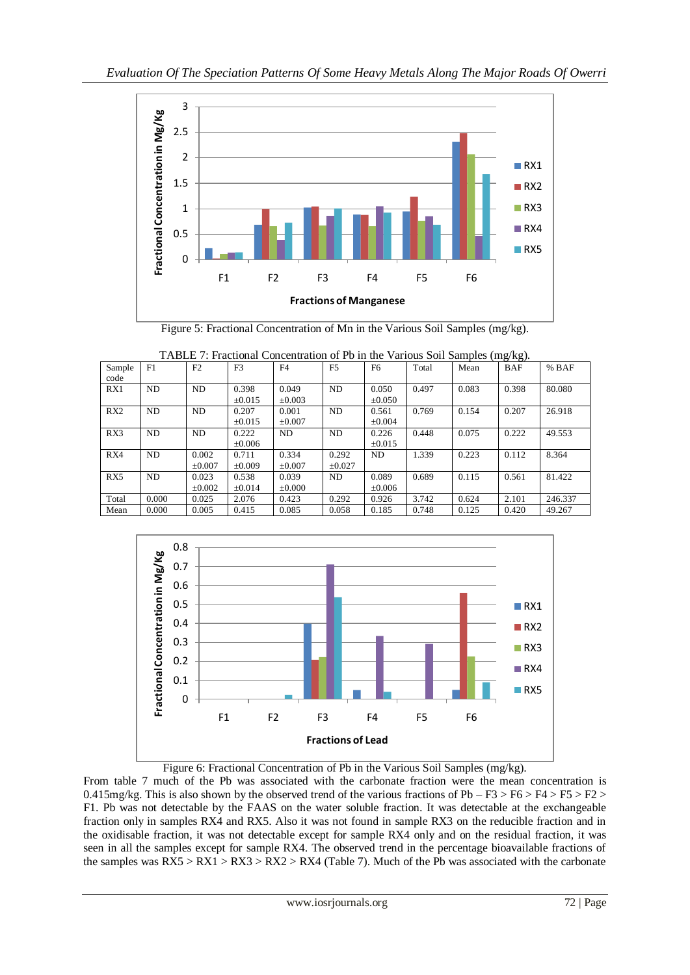

Figure 5: Fractional Concentration of Mn in the Various Soil Samples (mg/kg).

| TABLE 7: Fractional Concentration of Pb in the Various Soil Samples (mg/kg). |                                                                                                    |             |             |             |             |             |       |       |       |         |  |  |  |  |
|------------------------------------------------------------------------------|----------------------------------------------------------------------------------------------------|-------------|-------------|-------------|-------------|-------------|-------|-------|-------|---------|--|--|--|--|
| Sample                                                                       | F <sub>5</sub><br>F1<br>F2<br>F3<br>F4<br>Total<br>F <sub>6</sub><br><b>BAF</b><br>$%$ BAF<br>Mean |             |             |             |             |             |       |       |       |         |  |  |  |  |
| code                                                                         |                                                                                                    |             |             |             |             |             |       |       |       |         |  |  |  |  |
| RX1                                                                          | N <sub>D</sub>                                                                                     | <b>ND</b>   | 0.398       | 0.049       | ND          | 0.050       | 0.497 | 0.083 | 0.398 | 80.080  |  |  |  |  |
|                                                                              |                                                                                                    |             | $\pm 0.015$ | $\pm 0.003$ |             | $\pm 0.050$ |       |       |       |         |  |  |  |  |
| RX2                                                                          | N <sub>D</sub>                                                                                     | ND          | 0.207       | 0.001       | ND          | 0.561       | 0.769 | 0.154 | 0.207 | 26.918  |  |  |  |  |
|                                                                              |                                                                                                    |             | $\pm 0.015$ | $\pm 0.007$ |             | $\pm 0.004$ |       |       |       |         |  |  |  |  |
| RX3                                                                          | ND.                                                                                                | ND          | 0.222       | <b>ND</b>   | ND          | 0.226       | 0.448 | 0.075 | 0.222 | 49.553  |  |  |  |  |
|                                                                              |                                                                                                    |             | $\pm 0.006$ |             |             | $\pm 0.015$ |       |       |       |         |  |  |  |  |
| RX4                                                                          | ND                                                                                                 | 0.002       | 0.711       | 0.334       | 0.292       | ND.         | 1.339 | 0.223 | 0.112 | 8.364   |  |  |  |  |
|                                                                              |                                                                                                    | $\pm 0.007$ | $\pm 0.009$ | $\pm 0.007$ | $\pm 0.027$ |             |       |       |       |         |  |  |  |  |
| RX5                                                                          | N <sub>D</sub>                                                                                     | 0.023       | 0.538       | 0.039       | ND          | 0.089       | 0.689 | 0.115 | 0.561 | 81.422  |  |  |  |  |
|                                                                              |                                                                                                    | $\pm 0.002$ | $\pm 0.014$ | $\pm 0.000$ |             | $\pm 0.006$ |       |       |       |         |  |  |  |  |
| Total                                                                        | 0.000                                                                                              | 0.025       | 2.076       | 0.423       | 0.292       | 0.926       | 3.742 | 0.624 | 2.101 | 246.337 |  |  |  |  |
| Mean                                                                         | 0.000                                                                                              | 0.005       | 0.415       | 0.085       | 0.058       | 0.185       | 0.748 | 0.125 | 0.420 | 49.267  |  |  |  |  |



Figure 6: Fractional Concentration of Pb in the Various Soil Samples (mg/kg).

From table 7 much of the Pb was associated with the carbonate fraction were the mean concentration is 0.415mg/kg. This is also shown by the observed trend of the various fractions of Pb –  $F3 > F6 > F4 > F5 > F2 >$ F1. Pb was not detectable by the FAAS on the water soluble fraction. It was detectable at the exchangeable fraction only in samples RX4 and RX5. Also it was not found in sample RX3 on the reducible fraction and in the oxidisable fraction, it was not detectable except for sample RX4 only and on the residual fraction, it was seen in all the samples except for sample RX4. The observed trend in the percentage bioavailable fractions of the samples was  $RX5 > RX1 > RX3 > RX2 > RX4$  (Table 7). Much of the Pb was associated with the carbonate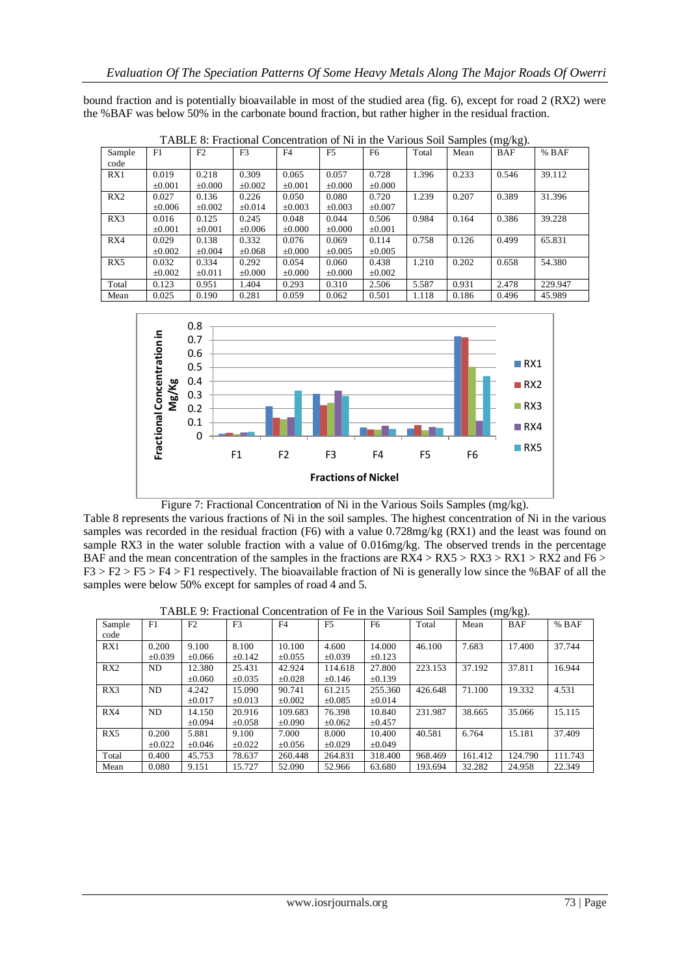bound fraction and is potentially bioavailable in most of the studied area (fig. 6), except for road 2 (RX2) were the %BAF was below 50% in the carbonate bound fraction, but rather higher in the residual fraction.

| Sample | F1          | F2          | F <sub>3</sub> | F <sub>4</sub> | F5          | F <sub>6</sub> | Total | Mean  | <b>BAF</b> | $%$ BAF |
|--------|-------------|-------------|----------------|----------------|-------------|----------------|-------|-------|------------|---------|
| code   |             |             |                |                |             |                |       |       |            |         |
| RX1    | 0.019       | 0.218       | 0.309          | 0.065          | 0.057       | 0.728          | 1.396 | 0.233 | 0.546      | 39.112  |
|        | $\pm 0.001$ | $\pm 0.000$ | $\pm 0.002$    | $\pm 0.001$    | $\pm 0.000$ | $\pm 0.000$    |       |       |            |         |
| RX2    | 0.027       | 0.136       | 0.226          | 0.050          | 0.080       | 0.720          | 1.239 | 0.207 | 0.389      | 31.396  |
|        | $\pm 0.006$ | $\pm 0.002$ | $\pm 0.014$    | $\pm 0.003$    | $\pm 0.003$ | $\pm 0.007$    |       |       |            |         |
| RX3    | 0.016       | 0.125       | 0.245          | 0.048          | 0.044       | 0.506          | 0.984 | 0.164 | 0.386      | 39.228  |
|        | $\pm 0.001$ | $\pm 0.001$ | $\pm 0.006$    | $\pm 0.000$    | $\pm 0.000$ | $\pm 0.001$    |       |       |            |         |
| RX4    | 0.029       | 0.138       | 0.332          | 0.076          | 0.069       | 0.114          | 0.758 | 0.126 | 0.499      | 65.831  |
|        | $\pm 0.002$ | $\pm 0.004$ | $\pm 0.068$    | $\pm 0.000$    | $\pm 0.005$ | $\pm 0.005$    |       |       |            |         |
| RX5    | 0.032       | 0.334       | 0.292          | 0.054          | 0.060       | 0.438          | 1.210 | 0.202 | 0.658      | 54.380  |
|        | $\pm 0.002$ | $\pm 0.011$ | $\pm 0.000$    | $\pm 0.000$    | $\pm 0.000$ | $\pm 0.002$    |       |       |            |         |
| Total  | 0.123       | 0.951       | 1.404          | 0.293          | 0.310       | 2.506          | 5.587 | 0.931 | 2.478      | 229.947 |
| Mean   | 0.025       | 0.190       | 0.281          | 0.059          | 0.062       | 0.501          | 1.118 | 0.186 | 0.496      | 45.989  |

TABLE 8: Fractional Concentration of Ni in the Various Soil Samples (mg/kg).



Figure 7: Fractional Concentration of Ni in the Various Soils Samples (mg/kg).

Table 8 represents the various fractions of Ni in the soil samples. The highest concentration of Ni in the various samples was recorded in the residual fraction (F6) with a value 0.728mg/kg (RX1) and the least was found on sample RX3 in the water soluble fraction with a value of 0.016mg/kg. The observed trends in the percentage BAF and the mean concentration of the samples in the fractions are  $RX4 > RX5 > RX3 > RX1 > RX2$  and F6 > F3 > F2 > F5 > F4 > F1 respectively. The bioavailable fraction of Ni is generally low since the %BAF of all the samples were below 50% except for samples of road 4 and 5.

|  | TABLE 9: Fractional Concentration of Fe in the Various Soil Samples (mg/kg). |  |  |  |
|--|------------------------------------------------------------------------------|--|--|--|
|  |                                                                              |  |  |  |

| Sample | F1          | F2          | F3          | F4          | F <sub>5</sub> | F6          | Total   | Mean    | ັ<br>ັ<br>BAF | $%$ BAF |
|--------|-------------|-------------|-------------|-------------|----------------|-------------|---------|---------|---------------|---------|
|        |             |             |             |             |                |             |         |         |               |         |
| code   |             |             |             |             |                |             |         |         |               |         |
| RX1    | 0.200       | 9.100       | 8.100       | 10.100      | 4.600          | 14.000      | 46.100  | 7.683   | 17.400        | 37.744  |
|        | $\pm 0.039$ | $\pm 0.066$ | $\pm 0.142$ | $\pm 0.055$ | $\pm 0.039$    | $\pm 0.123$ |         |         |               |         |
| RX2    | ND          | 12.380      | 25.431      | 42.924      | 114.618        | 27.800      | 223.153 | 37.192  | 37.811        | 16.944  |
|        |             | $\pm 0.060$ | $\pm 0.035$ | $\pm 0.028$ | $\pm 0.146$    | $\pm 0.139$ |         |         |               |         |
| RX3    | ND          | 4.242       | 15.090      | 90.741      | 61.215         | 255.360     | 426.648 | 71.100  | 19.332        | 4.531   |
|        |             | $\pm 0.017$ | $\pm 0.013$ | $\pm 0.002$ | $\pm 0.085$    | $\pm 0.014$ |         |         |               |         |
| RX4    | ND          | 14.150      | 20.916      | 109.683     | 76.398         | 10.840      | 231.987 | 38.665  | 35.066        | 15.115  |
|        |             | $+0.094$    | $\pm 0.058$ | $+0.090$    | $\pm 0.062$    | $\pm 0.457$ |         |         |               |         |
| RX5    | 0.200       | 5.881       | 9.100       | 7.000       | 8.000          | 10.400      | 40.581  | 6.764   | 15.181        | 37.409  |
|        | $\pm 0.022$ | $\pm 0.046$ | $\pm 0.022$ | $\pm 0.056$ | $\pm 0.029$    | $\pm 0.049$ |         |         |               |         |
| Total  | 0.400       | 45.753      | 78.637      | 260.448     | 264.831        | 318.400     | 968.469 | 161.412 | 124.790       | 111.743 |
| Mean   | 0.080       | 9.151       | 15.727      | 52.090      | 52.966         | 63.680      | 193.694 | 32.282  | 24.958        | 22.349  |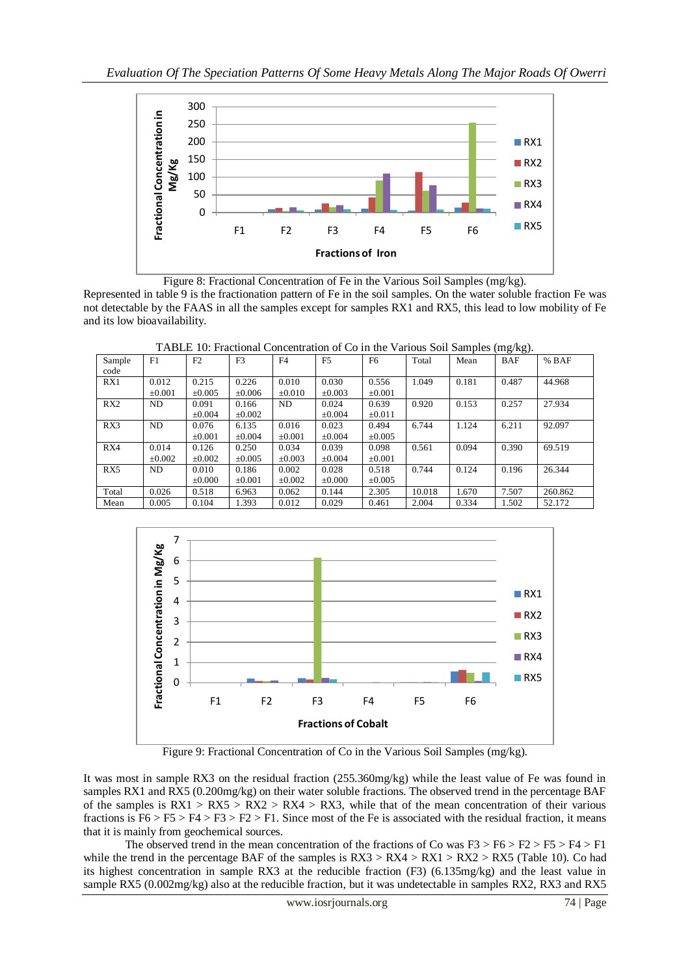

Figure 8: Fractional Concentration of Fe in the Various Soil Samples (mg/kg).

Represented in table 9 is the fractionation pattern of Fe in the soil samples. On the water soluble fraction Fe was not detectable by the FAAS in all the samples except for samples RX1 and RX5, this lead to low mobility of Fe and its low bioavailability.

TABLE 10: Fractional Concentration of Co in the Various Soil Samples (mg/kg).

|        |                |             |                |             |                |             |        |       | ັ້         |         |
|--------|----------------|-------------|----------------|-------------|----------------|-------------|--------|-------|------------|---------|
| Sample | F1             | F2          | F <sub>3</sub> | F4          | F <sub>5</sub> | F6          | Total  | Mean  | <b>BAF</b> | $%$ BAF |
| code   |                |             |                |             |                |             |        |       |            |         |
| RX1    | 0.012          | 0.215       | 0.226          | 0.010       | 0.030          | 0.556       | 1.049  | 0.181 | 0.487      | 44.968  |
|        | ±0.001         | $\pm 0.005$ | $\pm 0.006$    | $\pm 0.010$ | $\pm 0.003$    | $\pm 0.001$ |        |       |            |         |
| RX2    | N <sub>D</sub> | 0.091       | 0.166          | ND          | 0.024          | 0.639       | 0.920  | 0.153 | 0.257      | 27.934  |
|        |                | $\pm 0.004$ | $\pm 0.002$    |             | $\pm 0.004$    | $\pm 0.011$ |        |       |            |         |
| RX3    | ND             | 0.076       | 6.135          | 0.016       | 0.023          | 0.494       | 6.744  | 1.124 | 6.211      | 92.097  |
|        |                | $\pm 0.001$ | $\pm 0.004$    | $\pm 0.001$ | $\pm 0.004$    | $\pm 0.005$ |        |       |            |         |
| RX4    | 0.014          | 0.126       | 0.250          | 0.034       | 0.039          | 0.098       | 0.561  | 0.094 | 0.390      | 69.519  |
|        | $\pm 0.002$    | $\pm 0.002$ | $\pm 0.005$    | $\pm 0.003$ | $\pm 0.004$    | $\pm 0.001$ |        |       |            |         |
| RX5    | ND             | 0.010       | 0.186          | 0.002       | 0.028          | 0.518       | 0.744  | 0.124 | 0.196      | 26.344  |
|        |                | $\pm 0.000$ | $\pm 0.001$    | $\pm 0.002$ | $\pm 0.000$    | $\pm 0.005$ |        |       |            |         |
| Total  | 0.026          | 0.518       | 6.963          | 0.062       | 0.144          | 2.305       | 10.018 | 1.670 | 7.507      | 260.862 |
| Mean   | 0.005          | 0.104       | 1.393          | 0.012       | 0.029          | 0.461       | 2.004  | 0.334 | 1.502      | 52.172  |



Figure 9: Fractional Concentration of Co in the Various Soil Samples (mg/kg).

It was most in sample RX3 on the residual fraction (255.360mg/kg) while the least value of Fe was found in samples RX1 and RX5 (0.200mg/kg) on their water soluble fractions. The observed trend in the percentage BAF of the samples is  $RX1 > RX5 > RX2 > RX4 > RX3$ , while that of the mean concentration of their various fractions is  $F6 > F5 > F4 > F3 > F2 > F1$ . Since most of the Fe is associated with the residual fraction, it means that it is mainly from geochemical sources.

The observed trend in the mean concentration of the fractions of Co was  $F3 > F6 > F2 > F5 > F4 > F1$ while the trend in the percentage BAF of the samples is  $RX3 > RX4 > RX1 > RX5$  (Table 10). Co had its highest concentration in sample RX3 at the reducible fraction (F3) (6.135mg/kg) and the least value in sample RX5 (0.002mg/kg) also at the reducible fraction, but it was undetectable in samples RX2, RX3 and RX5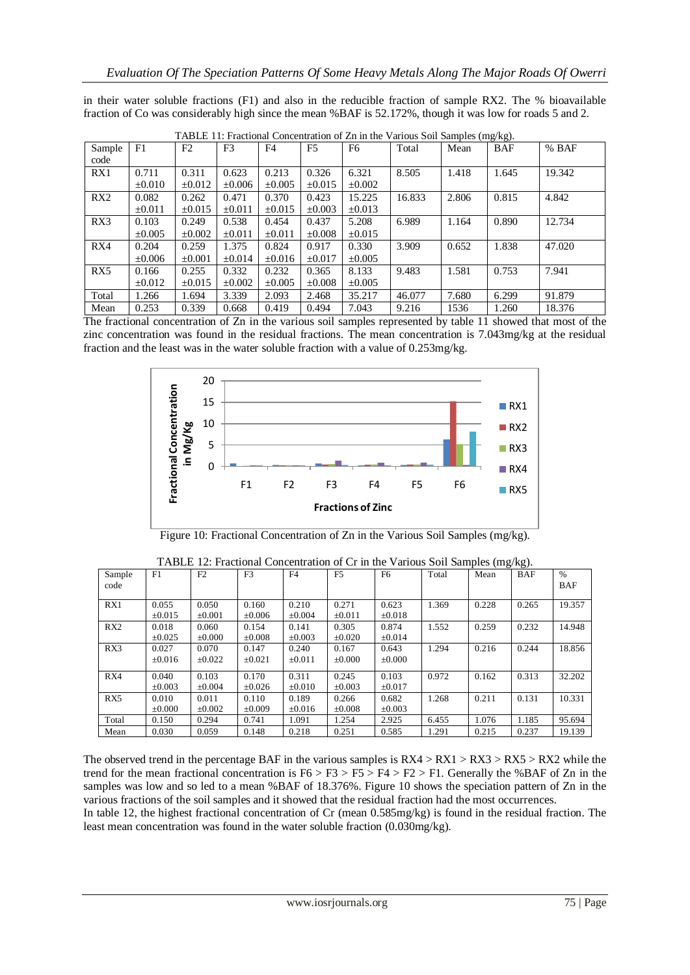|  |  |  |  |  |  |  | in their water soluble fractions (F1) and also in the reducible fraction of sample RX2. The % bioavailable |
|--|--|--|--|--|--|--|------------------------------------------------------------------------------------------------------------|
|  |  |  |  |  |  |  | fraction of Co was considerably high since the mean %BAF is 52.172%, though it was low for roads 5 and 2.  |

| TABLE TI: Fractional Concentration of Zn in the Various Soil Samples (mg/kg). |             |             |                |             |                |             |        |       |            |        |
|-------------------------------------------------------------------------------|-------------|-------------|----------------|-------------|----------------|-------------|--------|-------|------------|--------|
| Sample                                                                        | F1          | F2          | F <sub>3</sub> | F4          | F <sub>5</sub> | F6          | Total  | Mean  | <b>BAF</b> | % BAF  |
| code                                                                          |             |             |                |             |                |             |        |       |            |        |
| RX1                                                                           | 0.711       | 0.311       | 0.623          | 0.213       | 0.326          | 6.321       | 8.505  | 1.418 | 1.645      | 19.342 |
|                                                                               | $\pm 0.010$ | $\pm 0.012$ | $\pm 0.006$    | $\pm 0.005$ | $\pm 0.015$    | $\pm 0.002$ |        |       |            |        |
| RX2                                                                           | 0.082       | 0.262       | 0.471          | 0.370       | 0.423          | 15.225      | 16.833 | 2.806 | 0.815      | 4.842  |
|                                                                               | $\pm 0.011$ | $\pm 0.015$ | $\pm 0.011$    | $\pm 0.015$ | $\pm 0.003$    | $\pm 0.013$ |        |       |            |        |
| RX3                                                                           | 0.103       | 0.249       | 0.538          | 0.454       | 0.437          | 5.208       | 6.989  | 1.164 | 0.890      | 12.734 |
|                                                                               | $\pm 0.005$ | $\pm 0.002$ | $\pm 0.011$    | ±0.011      | $\pm 0.008$    | $\pm 0.015$ |        |       |            |        |
| RX4                                                                           | 0.204       | 0.259       | 1.375          | 0.824       | 0.917          | 0.330       | 3.909  | 0.652 | 1.838      | 47.020 |
|                                                                               | $\pm 0.006$ | $\pm 0.001$ | $\pm 0.014$    | $\pm 0.016$ | $\pm 0.017$    | $\pm 0.005$ |        |       |            |        |
| RX5                                                                           | 0.166       | 0.255       | 0.332          | 0.232       | 0.365          | 8.133       | 9.483  | 1.581 | 0.753      | 7.941  |
|                                                                               | $\pm 0.012$ | $\pm 0.015$ | $\pm 0.002$    | $\pm 0.005$ | $\pm 0.008$    | $\pm 0.005$ |        |       |            |        |
| Total                                                                         | 1.266       | 1.694       | 3.339          | 2.093       | 2.468          | 35.217      | 46.077 | 7.680 | 6.299      | 91.879 |
| Mean                                                                          | 0.253       | 0.339       | 0.668          | 0.419       | 0.494          | 7.043       | 9.216  | 1536  | 1.260      | 18.376 |

|  |  |  | TABLE 11: Fractional Concentration of Zn in the Various Soil Samples (mg/kg). |  |
|--|--|--|-------------------------------------------------------------------------------|--|
|  |  |  |                                                                               |  |

The fractional concentration of Zn in the various soil samples represented by table 11 showed that most of the zinc concentration was found in the residual fractions. The mean concentration is 7.043mg/kg at the residual fraction and the least was in the water soluble fraction with a value of 0.253mg/kg.



Figure 10: Fractional Concentration of Zn in the Various Soil Samples (mg/kg).

| Sample<br>code  | F1          | F <sub>2</sub> | F <sub>3</sub> | F <sub>4</sub> | F <sub>5</sub> | F6          | Total | Mean  | <b>BAF</b> | $\%$<br><b>BAF</b> |
|-----------------|-------------|----------------|----------------|----------------|----------------|-------------|-------|-------|------------|--------------------|
| RX1             | 0.055       | 0.050          | 0.160          | 0.210          | 0.271          | 0.623       | 1.369 | 0.228 | 0.265      | 19.357             |
|                 | $\pm 0.015$ | $\pm 0.001$    | $\pm 0.006$    | $\pm 0.004$    | $\pm 0.011$    | $\pm 0.018$ |       |       |            |                    |
| RX <sub>2</sub> | 0.018       | 0.060          | 0.154          | 0.141          | 0.305          | 0.874       | 1.552 | 0.259 | 0.232      | 14.948             |
|                 | $\pm 0.025$ | $\pm 0.000$    | $\pm 0.008$    | $\pm 0.003$    | $\pm 0.020$    | $\pm 0.014$ |       |       |            |                    |
| RX3             | 0.027       | 0.070          | 0.147          | 0.240          | 0.167          | 0.643       | 1.294 | 0.216 | 0.244      | 18.856             |
|                 | $\pm 0.016$ | $\pm 0.022$    | $\pm 0.021$    | $\pm 0.011$    | $\pm 0.000$    | $\pm 0.000$ |       |       |            |                    |
| RX4             | 0.040       | 0.103          | 0.170          | 0.311          | 0.245          | 0.103       | 0.972 | 0.162 | 0.313      | 32.202             |
|                 | $\pm 0.003$ | $\pm 0.004$    | $\pm 0.026$    | $\pm 0.010$    | $\pm 0.003$    | $\pm 0.017$ |       |       |            |                    |
| RX5             | 0.010       | 0.011          | 0.110          | 0.189          | 0.266          | 0.682       | 1.268 | 0.211 | 0.131      | 10.331             |
|                 | $\pm 0.000$ | $\pm 0.002$    | $\pm 0.009$    | $\pm 0.016$    | $\pm 0.008$    | $\pm 0.003$ |       |       |            |                    |
| Total           | 0.150       | 0.294          | 0.741          | 1.091          | 1.254          | 2.925       | 6.455 | 1.076 | 1.185      | 95.694             |
| Mean            | 0.030       | 0.059          | 0.148          | 0.218          | 0.251          | 0.585       | 1.291 | 0.215 | 0.237      | 19.139             |

TABLE 12: Fractional Concentration of Cr in the Various Soil Samples (mg/kg).

The observed trend in the percentage BAF in the various samples is  $RX4 > RX1 > RX3 > RX5 > RX2$  while the trend for the mean fractional concentration is  $F6 > F3 > F4 > F2 > F1$ . Generally the %BAF of Zn in the samples was low and so led to a mean %BAF of 18.376%. Figure 10 shows the speciation pattern of Zn in the various fractions of the soil samples and it showed that the residual fraction had the most occurrences.

In table 12, the highest fractional concentration of Cr (mean 0.585mg/kg) is found in the residual fraction. The least mean concentration was found in the water soluble fraction (0.030mg/kg).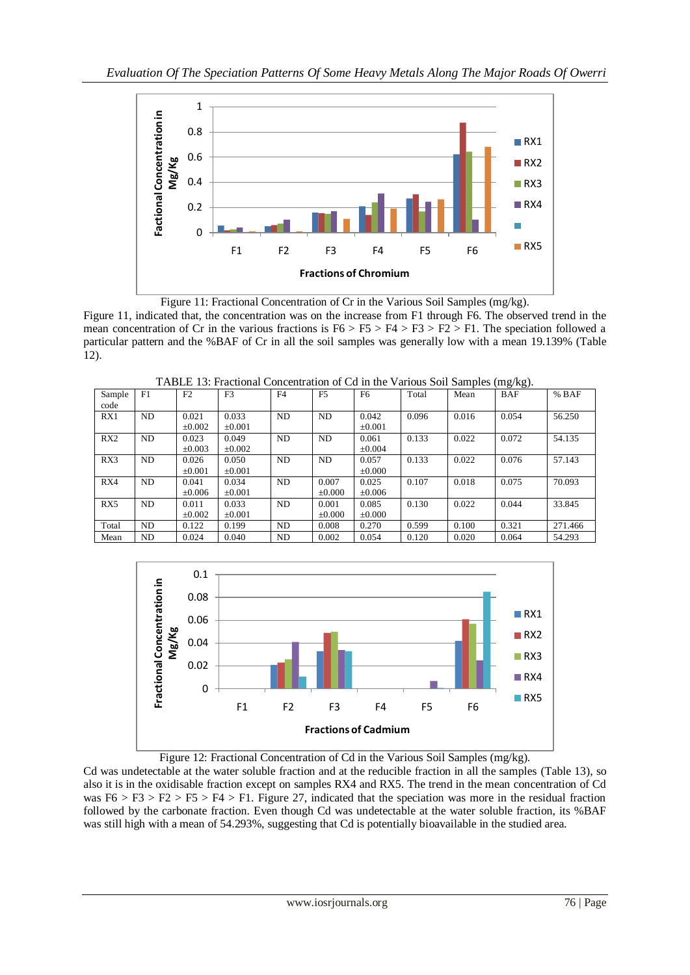

Figure 11: Fractional Concentration of Cr in the Various Soil Samples (mg/kg). Figure 11, indicated that, the concentration was on the increase from F1 through F6. The observed trend in the mean concentration of Cr in the various fractions is  $F6 > F5 > F4 > F3 > F2 > F1$ . The speciation followed a particular pattern and the %BAF of Cr in all the soil samples was generally low with a mean 19.139% (Table 12).



Mean | ND | 0.024 | 0.040 | ND | 0.002 | 0.054 | 0.120 | 0.020 | 0.064 | 54.293

TABLE 13: Fractional Concentration of Cd in the Various Soil Samples (mg/kg).



Figure 12: Fractional Concentration of Cd in the Various Soil Samples (mg/kg).

Cd was undetectable at the water soluble fraction and at the reducible fraction in all the samples (Table 13), so also it is in the oxidisable fraction except on samples RX4 and RX5. The trend in the mean concentration of Cd was  $F6 > F3 > F2 > F5 > F4 > F1$ . Figure 27, indicated that the speciation was more in the residual fraction followed by the carbonate fraction. Even though Cd was undetectable at the water soluble fraction, its %BAF was still high with a mean of 54.293%, suggesting that Cd is potentially bioavailable in the studied area.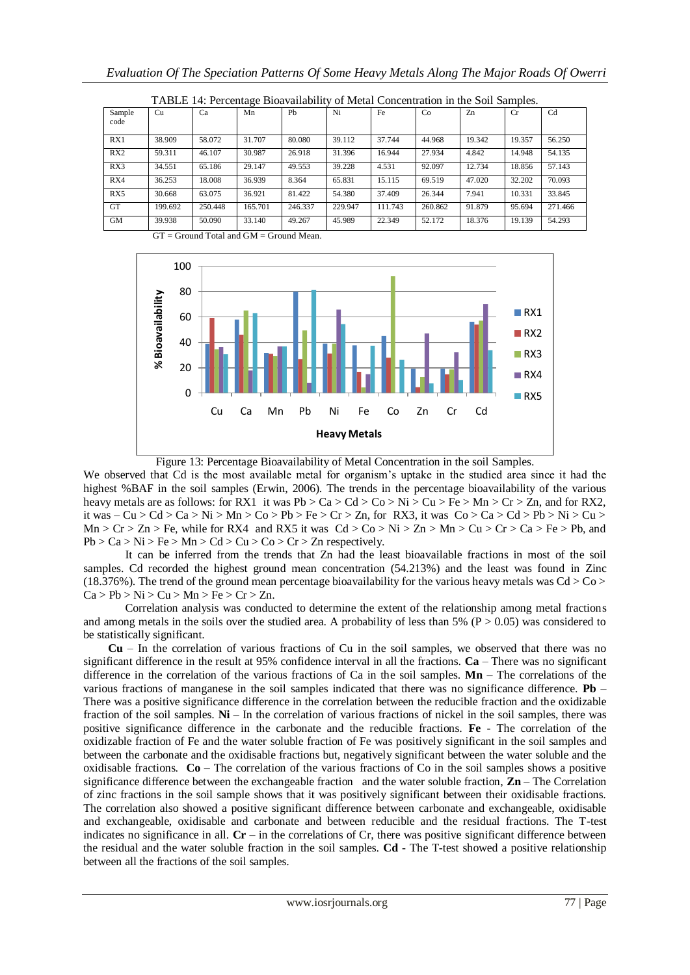| Trubble T is a crediting broavandomy of mean concentration in the bon bampios. |         |         |         |         |         |         |         |        |           |         |
|--------------------------------------------------------------------------------|---------|---------|---------|---------|---------|---------|---------|--------|-----------|---------|
| Sample<br>code                                                                 | Cu      | Ca      | Mn      | Pb      | Ni      | Fe      | Co      | Zn     | <b>Cr</b> | Cd      |
| RX1                                                                            | 38.909  | 58.072  | 31.707  | 80.080  | 39.112  | 37.744  | 44.968  | 19.342 | 19.357    | 56.250  |
| RX2                                                                            | 59.311  | 46.107  | 30.987  | 26.918  | 31.396  | 16.944  | 27.934  | 4.842  | 14.948    | 54.135  |
| RX3                                                                            | 34.551  | 65.186  | 29.147  | 49.553  | 39.228  | 4.531   | 92.097  | 12.734 | 18.856    | 57.143  |
| RX4                                                                            | 36.253  | 18.008  | 36.939  | 8.364   | 65.831  | 15.115  | 69.519  | 47.020 | 32.202    | 70.093  |
| RX5                                                                            | 30.668  | 63.075  | 36.921  | 81.422  | 54.380  | 37.409  | 26.344  | 7.941  | 10.331    | 33.845  |
| <b>GT</b>                                                                      | 199.692 | 250.448 | 165.701 | 246.337 | 229.947 | 111.743 | 260.862 | 91.879 | 95.694    | 271.466 |
| <b>GM</b>                                                                      | 39.938  | 50.090  | 33.140  | 49.267  | 45.989  | 22.349  | 52.172  | 18.376 | 19.139    | 54.293  |

TABLE 14: Percentage Bioavailability of Metal Concentration in the Soil Samples.

 $GT = Ground Total and GM = Ground Mean$ 



Figure 13: Percentage Bioavailability of Metal Concentration in the soil Samples.

We observed that Cd is the most available metal for organism's uptake in the studied area since it had the highest %BAF in the soil samples (Erwin, 2006). The trends in the percentage bioavailability of the various heavy metals are as follows: for RX1 it was  $Pb > Ca > Cd > Co > Ni > Cu > Fe > Mn > Cr > Zn$ , and for RX2, it was  $-Cu > Cd > Ca > Ni > Mn > Co > Pb > Fe > Cr > Zn$ , for RX3, it was  $Co > Ca > Cd > Pb > Ni > Cu >$  $Mn > Cr > Zn > Fe$ , while for RX4 and RX5 it was  $Cd > Co > Ni > Zn > Mn > Cu > Cr > Ca > Fe > Pb$ , and  $Pb > Ca > Ni > Fe > Mn > Cd > Cu > Co > Cr > Zn$  respectively.

It can be inferred from the trends that Zn had the least bioavailable fractions in most of the soil samples. Cd recorded the highest ground mean concentration (54.213%) and the least was found in Zinc (18.376%). The trend of the ground mean percentage bioavailability for the various heavy metals was  $Cd > Co$ )  $Ca > Pb > Ni > Cu > Mn > Fe > Cr > Zn$ .

Correlation analysis was conducted to determine the extent of the relationship among metal fractions and among metals in the soils over the studied area. A probability of less than 5% ( $P > 0.05$ ) was considered to be statistically significant.

**Cu** – In the correlation of various fractions of Cu in the soil samples, we observed that there was no significant difference in the result at 95% confidence interval in all the fractions. **Ca** – There was no significant difference in the correlation of the various fractions of Ca in the soil samples. **Mn** – The correlations of the various fractions of manganese in the soil samples indicated that there was no significance difference. **Pb** – There was a positive significance difference in the correlation between the reducible fraction and the oxidizable fraction of the soil samples. **Ni** – In the correlation of various fractions of nickel in the soil samples, there was positive significance difference in the carbonate and the reducible fractions. **Fe** - The correlation of the oxidizable fraction of Fe and the water soluble fraction of Fe was positively significant in the soil samples and between the carbonate and the oxidisable fractions but, negatively significant between the water soluble and the oxidisable fractions. **Co** – The correlation of the various fractions of Co in the soil samples shows a positive significance difference between the exchangeable fraction and the water soluble fraction, **Zn** – The Correlation of zinc fractions in the soil sample shows that it was positively significant between their oxidisable fractions. The correlation also showed a positive significant difference between carbonate and exchangeable, oxidisable and exchangeable, oxidisable and carbonate and between reducible and the residual fractions. The T-test indicates no significance in all. **Cr** – in the correlations of Cr, there was positive significant difference between the residual and the water soluble fraction in the soil samples. **Cd** - The T-test showed a positive relationship between all the fractions of the soil samples.